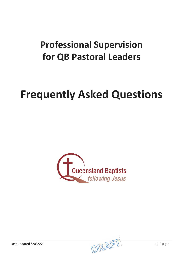## **Professional Supervision for QB Pastoral Leaders**

# **Frequently Asked Questions**



Last updated 8/03/22  $\Box$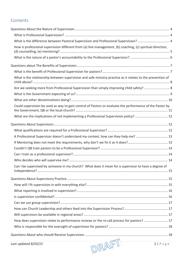## **Contents**

| What is the difference between Pastoral Supervision and Professional Supervision?  4                       |  |
|------------------------------------------------------------------------------------------------------------|--|
| How is professional supervision different from (a) line management, (b) coaching, (c) spiritual direction, |  |
|                                                                                                            |  |
|                                                                                                            |  |
|                                                                                                            |  |
| What is the relationship between supervision and safe ministry practice as it relates to the prevention of |  |
|                                                                                                            |  |
|                                                                                                            |  |
|                                                                                                            |  |
| Could supervision be used as way to gain control of Pastors or evaluate the performance of the Pastor by   |  |
| What are the implications of not implementing a Professional Supervision policy?  12                       |  |
|                                                                                                            |  |
|                                                                                                            |  |
| A Professional Supervisor doesn't understand my context, how can they help me?  13                         |  |
|                                                                                                            |  |
|                                                                                                            |  |
|                                                                                                            |  |
|                                                                                                            |  |
| Can I be supervised by someone in my church? What does it mean for a supervisor to have a degree of        |  |
|                                                                                                            |  |
|                                                                                                            |  |
|                                                                                                            |  |
|                                                                                                            |  |
|                                                                                                            |  |
|                                                                                                            |  |
|                                                                                                            |  |
|                                                                                                            |  |
| How does supervision relate to performance reviews or the re-call process for pastors?17                   |  |
|                                                                                                            |  |
|                                                                                                            |  |
|                                                                                                            |  |
| DRAFT<br>2 Page<br>Last updated 8/03/22                                                                    |  |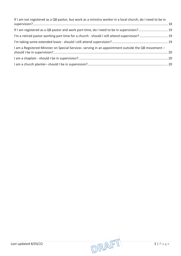| If I am not registered as a QB pastor, but work as a ministry worker in a local church, do I need to be in |  |
|------------------------------------------------------------------------------------------------------------|--|
|                                                                                                            |  |
| If I am registered as a QB pastor and work part-time, do I need to be in supervision? 19                   |  |
| I'm a retired pastor working part time for a church - should I still attend supervision? 19                |  |
|                                                                                                            |  |
| I am a Registered Minister on Special Services serving in an appointment outside the QB movement -         |  |
|                                                                                                            |  |
|                                                                                                            |  |

Last updated 8/03/22  $\sqrt{DRA}\sqrt{P}$  3 | Page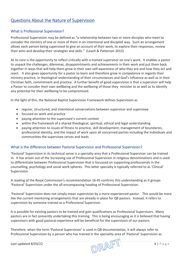## <span id="page-3-1"></span><span id="page-3-0"></span>Questions About the Nature of Supervision

#### What is Professional Supervision?

Professional Supervision may be defined as "a relationship between two or more disciples who meet to consider the ministry of one or more of them in an intentional and discipled way. Such an arrangement allows each person being supervised to give an account of their work, to explore their responses, review their aims and develop their strategies and skills." (Leach & Patterson 2015)

At its core is the opportunity to reflect critically with a trained supervisor on one's work. It enables a pastor to unpack the challenges, dilemmas, disappointments and achievements in their work and put them back together in ways that will help them grow in their own self-awareness of who they are and how they act and react. It also gives opportunity for a pastor to learn and therefore grow in competence in regards their ministry practice, in theological understanding of their circumstances and God's influence as well as in their Christian faith, commitment and practice. A further benefit of good supervision is that a supervisor will help a Pastor to consider their own wellbeing and the wellbeing of those they minister to as well as to identify any potential for their wellbeing to be compromised.

In the light of this, the National Baptist Supervision Framework defines Supervision as

- regular, structured, and intentional conversations between supervisor and supervisee
- focused on work and practice
- paying attention to the supervisee's current context
- within the framework of a shared theological, spiritual, ethical and legal understanding
- paying attention to issues of fitness to practice, skill development, management of boundaries, professional identity, and the impact of work upon all concerned parties including the individuals and communities the supervisee serves and leads

#### <span id="page-3-2"></span>What is the difference between Pastoral Supervision and Professional Supervision?

'Pastoral' Supervision in its technical sense is a specialty area that a Professional Supervisor can be trained in. It has arisen out of the increasing use of Professional Supervision in religious denominations and is used to differentiate between Professional Supervision that is focussed on supporting professionals in the counselling, psychology and social work spheres. This latter specialty is typically referred to as 'Clinical' Supervision

A reading of the Royal Commission's recommendation 16.45 confirms this understanding as it groups 'Pastoral' Supervision under the all-encompassing heading of Professional Supervision.

'Pastoral' Supervision does not simply mean supervision by a more experienced pastor. This would be more like the current mentoring arrangements that are already in place for QB pastors. Instead, it refers to supervision by someone trained as a Professional Supervisor.

It is possible for existing pastors to be trained and gain qualifications as Professional Supervisors. Many pastors are in fact presently undertaking this training. This is being encouraging as it is believed that having supervisors with good pastoral experience will be beneficial for the supervision of our pastors.

Therefore, when the term 'Pastoral Supervision' is used in QB documentation, it will always refer to Professional Supervision by a person who has trained in the speciality area of 'Pastoral' Supervision as

Last updated 8/03/22 4 | Page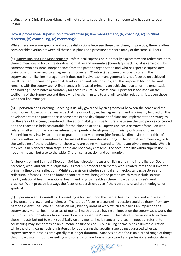distinct from 'Clinical' Supervision. It will not refer to supervision from someone who happens to be a Pastor.

#### <span id="page-4-0"></span>How is professional supervision different from (a) line management, (b) coaching, (c) spiritual direction, (d) counselling, (e) mentoring?

While there are some specific and unique distinctions between these disciplines, in practice, there is often considerable overlap between all these disciplines and practitioners share many of the same skill sets.

(a) Supervision and Line Management: Professional supervision is primarily exploratory and reflective; it has three dimensions in focus – restorative, formative and normative (boundary checking); it is carried out by someone who has some independence from the pastor's organisation and who has specific supervisory training; and is governed by an agreement (Covenant/Contract) between the supervisor and the supervisee. Unlike line management it does not involve task management; it is not focused on achieved results rather it focuses on personal development and relationships; and the responsibility for the work remains with the supervisee. A line manager is focused primarily on achieving results for the organisation and holding subordinates accountably for those results. A Professional Supervisor is focussed on the wellbeing of the Supervisee and those who he/she minsters to and will consider relationships, even those with their line manager.

(b) Supervision and Coaching: Coaching is usually governed by an agreement between the coach and the practitioner. It can consider any aspect of life or work by mutual agreement and is primarily focused on the development of the practitioner in some area or the development of plans and implementation strategies for the area of life being considered. The accountability is usually purely between the two people concerned and the coachee is held accountable for the planned actions. Supervision has a narrower focus - on work related matters, but has a wider interest than purely a development of ministry outcome or plan. Supervision may involve attention to practitioner development (the formative dimension), the ethics of practice within the organisation for the sake of those ministered amongst (the normative dimension), or to the wellbeing of the practitioner or those who are being ministered to (the restorative dimension). While it may result in planned action steps, these are not always present. The accountability within supervision is not only mutual, but also to the wider Church congregation and community.

(c) Supervision and Spiritual Direction: Spiritual direction focuses on living one's life in the light of God's presence, work and call to discipleship. Its focus is broader than merely work related items and it involves primarily theological reflection. Whilst supervision includes spiritual and theological perspectives and reflection, it focuses upon the broader concept of wellbeing of the person which may include spiritual health, relational health, emotional health and physical health as these impact a supervisee's work practice. Work practice is always the focus of supervision, even if the questions raised are theological or spiritual.

(d) Supervision and Counselling: Counselling is focused upon the mental health of the client and seeks to bring personal growth and wholeness. The topic of focus in a counselling session could be drawn from any part of a client's life. While supervision may identify areas of work which are having an impact on the supervisee's mental health or areas of mental health that are having an impact on the supervisee's work, the focus of supervision always has a connection to a supervisee's work. The role of supervision is to explore these impacts but not to work specifically on any mental health concerns raised. If needed, referral to counselling may sometimes be an outcome of supervision. Counselling normally has a limited duration while the client learns tools or strategies for addressing the specific issue being addressed whereas, supervisory relationships are typically of a longer duration. Supervision can focus on a broad range of things that impact work. Both counselling and supervision are formal, structured and professional relationships.

Last updated 0/03/22  $\Box$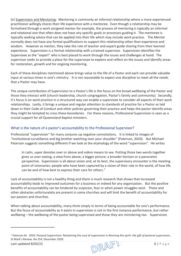(e) Supervision and Mentoring: Mentoring is commonly an informal relationship where a more experienced practitioner willingly shares their life experience with a mentoree. Even though a relationship may be formalised through a work assigned mentor for example, the process of mentoring is typically an informal and relational one that often does not have any specific goals or processes guiding it. The mentoree is typically seeking advice that can be applied into their life which may include work practice. The Mentor normally does not have any formal qualifications to support this relationship other than experience and wisdom. However as mentor, they take the role of teacher and expert guide sharing from their learned experience. Supervision is a formal relationship with a trained supervisor. Supervision identifies the Supervisee as the "expert" who is best placed to work through the issues and challenges at hand. The supervisor seeks to provide a place for the supervisee to explore and reflect on the issues and identify areas for restoration, growth and for ongoing monitoring.

Each of these disciplines mentioned above brings value to the life of a Pastor and each can provide valuable input at various times in one's ministry. It is not reasonable to expect one discipline to meet all the needs that a Pastor may have.

The unique contribution of Supervision to a Pastor's life is the focus on the broad wellbeing of the Pastor and those they interact with (church leadership, church congregation, Pastor's family and community). Secondly, it's focus is on work practice in a structured way can enable a supervisee to consider all aspects of their work relationships. Lastly, it brings a unique and regular attention to standards of practice for a Pastor as laid down in their Code of Conduct and other policies governing their practice and helps the pastor identify areas they might be tempted to cross these boundaries. For these reasons, Professional Supervision is seen as a crucial support for all Queensland Baptist ministers.

#### <span id="page-5-0"></span>What is the nature of a pastor's accountability to the Professional Supervisor?

Professional "supervision" for many conjures up negative connotations. It is linked to images of "institutional surveillance and big brother watching over your shoulder" (Paterson, 2020). But Michael Paterson suggests something different if we look at the etymology of the word "supervision". He writes

In Latin, *super* denotes over or above and *videre* means to see. Putting those two words together gives us over-seeing; a view from above; a bigger picture; a broader horizon or a panoramic perspective. Supervision is all about vision and, at its best, the supervisory encounter is the meeting point of visionaries: people who have been captured by a vision of their role in the world, of how life can be and of how best to express their care for others.<sup>[1](#page-5-1)</sup>

Lack of accountability is not a healthy thing and there is much research that shows that increased accountability leads to improved outcomes for a business or indeed for any organisation. But the positive benefits of accountability can be hindered by suspicion, fear or when power struggles exist. These and other obstacles unfortunately are present in some churches and will limit the benefit of accountability for our pastors and churches.

When talking about accountability, many think simply in terms of being accountable for one's performance. But the focus of accountability as it exists in supervision is not in the first instance performance, but rather wellbeing – the wellbeing of the pastor being supervised and those they are ministering too. Supervision

<span id="page-5-1"></span>Last updated 8/03/22 6 | Page <sup>1</sup> Paterson M. 2020, Pastoral Supervision: Reclaiming the soul of supervision in *Reviving the spirit: the gift of pastoral supervision*, St Mark's Review, No 254, December 2020.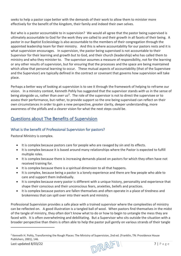seeks to help a pastor cope better with the demands of their work to allow them to minister more effectively for the benefit of the kingdom, their family and indeed their own selves.

But who is a pastor accountable to in supervision? We would all agree that the pastor being supervised is ultimately accountable to God for the work they are called to and their growth in all facets of their being. A pastor in our Baptist Ecclesiology is also accountable to the members of their congregation through the appointed leadership team for their ministry. And this is where accountability for our pastors rests and it is what supervision encourages. In supervision, the pastor being supervised is not accountable to their Supervisor for their learning and growth but to God, and their church (leadership) who has called them to ministry and who they minister to. The supervisor assumes a measure of responsibility, not for the learning or any other results of supervision, but for ensuring that the processes and the space are being maintained which allow that personal learning to occur. These mutual aspects of accountability (that of the Supervisee and the Supervisor) are typically defined in the contract or covenant that governs how supervision will take place.

Perhaps a better way of looking at supervision is to see it through the framework of helping to reframe our vision. In a ministry context, Kenneth Pohly has suggested that the supervisor stands *with* us in the sense of being alongside us, rather than *over* us[2](#page-6-2). The role of the supervisor is not to direct the supervisee or to assess their performance, but rather, to provide support so the one being supervised can reflect on their own circumstances in order to gain a new perspective, greater clarity, deeper understanding, more awareness of the pitfalls and a clearer vision for what the next steps could be.

## <span id="page-6-1"></span><span id="page-6-0"></span>Questions about The Benefits of Supervision

#### What is the benefit of Professional Supervision for pastors?

Pastoral Ministry is complex.

- It is complex because pastors care for people who are ravaged by sin and its effects.
- It is complex because it is based around many relationships where the Pastor is expected to fulfill multiple roles.
- It is complex because there is increasing demands placed on pastors for which they often have not received training for.
- It is complex because there is a spiritual dimension to all that happens.
- It is complex, because being a pastor is a lonely experience and there are few people who able to care and support them individually.
- It is complex because every pastor is different with a unique history, personality and experience that shape their conscious and their unconscious fears, anxieties, beliefs and practices.
- It is complex because pastors are fallen themselves and often operate in a place of tiredness and brokenness that can spill over into their work and ministry.

Professional Supervision provides a safe place with a trained supervisor where the complexities of ministry can be reflected on. A good illustration is a tangled ball of wool. When pastors find themselves in the midst of the tangle of ministry, they often don't know what to do or how to begin to untangle the mess they are faced with. It is often overwhelming and debilitating. But a Supervisor who sits outside the situation with a broader perspective than theirs is often able to help the pastor pull gently on various strands of their tangle

<span id="page-6-2"></span>Last updated 8/03/22 7 | Page <sup>2</sup> Kenneth H. Pohly, Transforming the Rough Places: The Ministry of Supervision, 2nd ed. (Franklin, TN: Providence House Publishers, 2001), 146.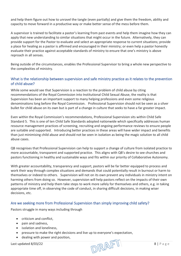and help them figure out how to unravel the tangle (even partially) and give them the freedom, ability and capacity to move forward in a productive way or make better sense of the mess before them.

A supervisor is trained to facilitate a pastor's learning from past events and help them imagine how they can apply that new understanding to similar situations that might occur in the future. Alternatively, they can provide support for the Pastor to evaluate and select an appropriate response to current situations; provide a place for healing as a pastor is affirmed and encouraged in their ministry; or even help a pastor honestly evaluate their practice against acceptable standards of ministry to ensure that one's ministry is above reproach in all senses.

Being outside of the circumstances, enables the Professional Supervisor to bring a whole new perspective to the complexities of ministry.

#### <span id="page-7-0"></span>What is the relationship between supervision and safe ministry practice as it relates to the prevention of child abuse?

While some would see that Supervision is a reaction to the problem of child abuse by citing recommendations of the Royal Commission into Institutional Child Sexual Abuse, the reality is that Supervision has been an important support to many helping professions and even some religious denominations long before the Royal Commission. Professional Supervision should not be seen as a silver bullet for child abuse on its own but is part of a change in culture that seeks to have a far greater impact.

Even within the Royal Commission's recommendations, Professional Supervision sits within Child Safe Standard 5. This is one of ten Child Safe Standards adopted nationwide which specifically addresses human resource management practices of screening, recruiting and ongoing performance reviews to ensure people are suitable and supported. Introducing better practices in these areas will have wider impact and benefits than just minimising child abuse and should not be seen in isolation as being the magic solution to all child abuse cases.

QB recognises that Professional Supervision can help to support a change of culture from isolated practice to more accountable, transparent and supported practice. This aligns with QB's desire to see churches and pastors functioning in healthy and sustainable ways and fits within our priority of Collaborative Autonomy.

With greater accountability, transparency and support, pastors will be far better equipped to process and work their way through complex situations and demands that could potentially result in burnout or harm to themselves or indeed to others. Supervision will not on its own prevent any individuals in ministry intent on harming others from doing so. However, supervision will help pastors reflect on the impacts of their own patterns of ministry and help them take steps to work more safely for themselves and others, e.g. in taking appropriate time off, in observing the code of conduct, in sharing difficult decisions, in making wiser decisions, etc.

#### <span id="page-7-1"></span>Are we seeking more from Professional Supervision than simply improving child safety?

Pastors struggle in many ways including through

- criticism and conflict,
- pain and sadness,
- isolation and loneliness,
- pressure to make the right decisions and live up to everyone's expectation,
- dealing with power and position,

Last updated 8/03/22 8 | Page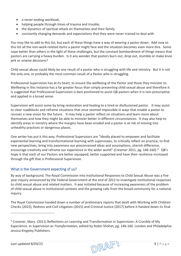- a never-ending workload,
- helping people through times of trauma and trouble,
- the dynamics of spiritual attack on themselves and their family
- constantly changing demands and expectations that they were never trained to deal with

You may like to add to this list, but each of these things have a way of wearing a pastor down. Add now to this list all the non-work-related items a pastor might face and the situation becomes even more dire. Some cope better than others in the light of these challenges, but the constant bombardment of things means that pastors are carrying a heavy burden. Is it any wonder that pastors burn out, drop out, stumble or make knee jerk or unwise decisions?

Child sexual abuse could likely be one result of a pastor who is struggling with life and ministry. But it is not the only one, or probably the most common result of a Pastor who is struggling.

Professional Supervision has at its heart, to ensure the wellbeing of the Pastor and those they minister to. Wellbeing in this instance has a far greater focus than simply preventing child sexual abuse and therefore it is suggested that Professional Supervision is best positioned to assist QB pastors when it is non-prescriptive and applied in a broad sense.

Supervision will assist some by bring restoration and healing to a tired or disillusioned pastor. It may assist to clear roadblocks and reframe situations that once seemed impossible in ways that enable a pastor to recover a new vision for the future. It may help a pastor reflect on situations and learn more about themselves and how they might be able to minister better in different circumstances. It may also help to identify areas in ministry where the margins have been eroded and a pastor is at risk of moving into unhealthy practices or dangerous places.

One writer has put it this way, Professional Supervisors are "Ideally placed to empower and facilitate experiential learning and transformational learning with supervisees, to critically reflect on practice, to find new perspectives, bring into awareness our preconceived ideas and assumptions, cherish difference, encourage creativity and reframe our experience in the wider world" (Creamer 2011, pg. 146-160). $^3$  $^3$  QB's hope is that each of our Pastors are better equipped, better supported and have their resilience increased through the gift that is Professional Supervision.

#### <span id="page-8-0"></span>What is the Government expecting of us?

By way of background, The Royal Commission into Institutional Responses to Child Sexual Abuse was a five year inquiry announced by the Federal Government at the end of 2012 to investigate institutional responses to child sexual abuse and related matters. It was initiated because of increasing awareness of the problem of child sexual abuse in institutional contexts and the growing calls from the broad community for a national inquiry.

The Royal Commission handed down a number of preliminary reports that dealt with Working with Children Checks (2015), Redress and Civil Litigation (2015) and Criminal Justice (2017) before it handed down its final

Last updated 8/03/22 9 | Page

<span id="page-8-1"></span><sup>&</sup>lt;sup>3</sup> Creamer, Mary. (2011) Reflections on Learning and Transformation in Supervision: A Crucible of My Experience. In *Supervision as Transformation,* edited by Robin Shohet, pg. 146-160. London and Philadelphia: Jessica Kingsley Publishers.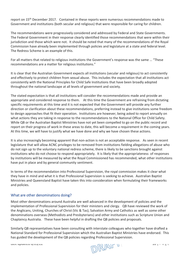report on 15<sup>th</sup> December 2017. Contained in these reports were numerous recommendations made to Government and institutions (both secular and religious) that were responsible for caring for children.

The recommendations were progressively considered and addressed by Federal and State Governments. The Federal Government in their response clearly identified those recommendations that were within their jurisdiction and those which were not. It should be noted that many of the recommendations of the Royal Commission have already been implemented through policies and legislature at a state and federal level. The Redress Scheme is an example of this.

For all matters that related to religious institutions the Government's response was the same … "These recommendations are a matter for religious institutions."

It is clear that the Australian Government expects all institutions (secular and religious) to act consistently and effectively to protect children from sexual abuse. This includes the expectation that all institutions act consistently with the National Principles for Child Safe Institutions that have been broadly adopted throughout the national landscape at all levels of government and society.

The stated expectation is that all institutions will consider the recommendations made and provide an appropriate and considered response to them. At this time the Government are refraining from dictating specific requirements at this time and it is not expected that the Government will provide any further direction or clarification about these recommendations, preferring instead to give institutions some freedom to design approaches that fit their operation. Institutions are however, being asked to report annually on what actions they are taking in response to the recommendations to the National Office for Child Safety. While QB or the Australian Baptist Ministries have not yet been compelled to go on the public record and report on their progress of work in these areas to date, this will become a requirement in the coming years. At this time, we will have to justify what we have done and why we have chosen these actions.

It is also increasingly becoming apparent that non-action is not an acceptable response. As seen in recent legislature that will allow ACNC privileges to be removed from institutions fielding allegations of abuse who do not sign up to the voluntary national redress scheme, there is likely to be sanctions brought against institutions who do not choose to respond appropriately. It is likely that the appropriateness of responses by institutions will be measured by what the Royal Commissioned has recommended, what other institutions have put in place and by general community sentiment.

In terms of the recommendation into Professional Supervision, the royal commission makes it clear what they have in mind and what it is that Professional Supervision is seeking to achieve. Australian Baptist Ministries and Queensland Baptist have taken this into consideration when formulating their frameworks and policies.

#### <span id="page-9-0"></span>What are other denominations doing?

Most other denominations around Australia are well advanced in the development of policies and the implementation of Professional Supervision for their ministers and clergy. QB have reviewed the work of the Anglicans, Uniting, Churches of Christ (Vic & Tas), Salvation Army and Catholics as well as some other denominations overseas (Methodists and Presbyterians) and other institutions such as Scripture Union and Chaplaincy Australia. These have been helpful in drafting the QB policies and proposals.

Similarly QB representatives have been consulting with interstate colleagues who together have drafted a National Standard for Professional Supervision which the Australian Baptist Ministries have endorsed. This has guided the development of the QB policies regarding Professional Supervision.

Last updated 0/03/22  $\Box$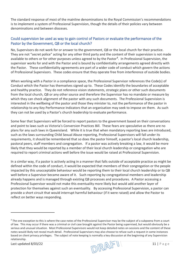The standard response of most of the mainline denominations to the Royal Commission's recommendations is to implement a system of Professional Supervision, though the details of their policies vary between denominations and between dioceses.

#### <span id="page-10-0"></span>Could supervision be used as way to gain control of Pastors or evaluate the performance of the Pastor by the Government, QB or the local church?

No, Supervisors do not work for or answer to the government, QB or the local church for their practice. They are not "secret police" acting for any other third party and the content of their supervision is not made available to others or for other purposes unless agreed to by the Pastor<sup>[4](#page-10-1)</sup>. In Professional Supervision, the supervisor works for and with the Pastor and is bound by confidentiality arrangements agreed directly with the Pastor. These confidentiality agreements are part of a wider code of conduct which govern the actions of Professional Supervisors. These codes ensure that they operate free from interference of outside bodies.

When working with a Pastor in a compliance space, the Professional Supervisor references the Code(s) of Conduct which the Pastor has themselves signed up to. These Codes identify the boundaries of acceptable and healthy practice. They do not reference vision statements, strategic plans or other such documents from the local church, QB or any other source and therefore the Supervisor has no mandate or measure by which they can check alignment of the pastor with any such documents. The Professional Supervision is interested in the wellbeing of the pastor and those they minister to, not the performance of the pastor in relationship to any Key Performance Indicators that an organisation may seek to impose on them. As such they can not be used by a Pastor's church leadership to evaluate performance.

Some fear that Supervisors will be forced to report pastors to the government based on their conversations and point to laws such as Victoria's Conversion Practices Bill. These fears are speculative as there are no plans for any such laws in Queensland. While it is true that when mandatory reporting laws are introduced, such as the laws surrounding Child Sexual Abuse reporting, Professional Supervisors will fall under its requirements, it should be remembered that so does the pastor himself, a pastor's local church leadership, pastoral peers, staff members and congregation. If a pastor was actively breaking a law, it would be more likely that they would be reported by a member of their local church leadership or congregation who are required to report criminal actions well before the issue would be raised at Professional Supervision.

In a similar way, if a pastor is actively acting in a manner that falls outside of acceptable practice as might be defined within the code of conduct, it would be expected that members of their congregation or the people impacted by this unacceptable behaviour would be reporting them to their local church leadership or to QB well before a Supervisor became aware of it. Such reporting by congregational members and leadership already happens and is managed through existing QB processes and procedures. A Pastor accessing a Professional Supervisor would not make this eventuality more likely but would add another layer of protection for themselves against such an eventuality. By accessing Professional Supervision, a pastor can provide a short circuit that would interrupt harmful behaviour (if it were raised) and allow the Pastor to reflect on better ways responding.

Last updated 8/03/22  $\sqrt{P(\mathbb{R}|\mathbb{R})}$  11 | Page

<span id="page-10-1"></span><sup>4</sup> The one exception to this is where the case notes of the Professional Supervisor may be the subject of a subpoena from a court of law. This may occur if there was a criminal or civil case brought against the Pastor being supervised, but would obviously be a serious and unusual situation. Most Professional Supervisors would not keep detailed notes on sessions and the content of these notes would likely not reveal much detail. Professional Supervisors may also choose to refuse such a request in some instances based on client privacy privileges. The subject of note keeping is normally a key discussion at the beginning of any Supervision relationship.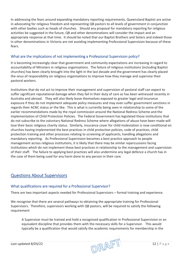In addressing the fears around expanding mandatory reporting requirements, Queensland Baptist are active in advocating for religious freedom and representing QB pastors to all levels of government in conjunction with other bodies such as heads of churches. Should any proposal for mandatory reporting for religious activities be suggested in the future, QB and other denominations will consider the impact and an appropriate response at that time. It should be noted that our Baptist Brothers and Sisters and indeed those in other denominations in Victoria are not avoiding implementing Professional Supervision because of these fears.

#### <span id="page-11-0"></span>What are the implications of not implementing a Professional Supervision policy?

It is becoming increasingly clear that government and community expectations are increasing in regard to accountability of Ministers in religious organisations. The failure of religious institutions (including Baptist churches) has been clearly brought into the light in the last decade and the government has clearly placed the onus of responsibility on religious organisations to improve how they manage and supervise their pastoral workers.

Institutions that do not act to improve their management and supervision of pastoral staff can expect to suffer significant reputational damage when they fail in their duty of care as has been witnessed recently in Australia and abroad. They will also likely leave themselves exposed to greater legal and insurance exposure if they do not implement adequate policy measures and may even suffer government sanctions in regards their ACNC status or the like. This is what is currently being seen in relationship to some of the earlier recommendations made by the royal commission around the National Redress Scheme and the implementation of Child Protection Policies. The Federal Government has legislated those institutions that do not subscribe to the voluntary National Redress Scheme where allegations of abuse have been made will lose their basic religious charity status. Similarly, insurance cover for child molestation is now conditional on churches having implemented the best practices in child protection policies, code of practices, child protection training and other processes relating to screening of applicants, handling allegations and mandatory reporting. As Professional Supervision becomes a best practice approach to people management across religious institutions, it is likely that there may be similar repercussions facing institutions which do not implement these best practices in relationship to the management and supervision of their staff. The failure to applying best practices will also undermine any legal defence a church has in the case of them being sued for any harm done to any person in their care.

### <span id="page-11-2"></span><span id="page-11-1"></span>Questions About Supervisors

#### What qualifications are required for a Professional Supervisor?

There are two important aspects needed for Professional Supervisors – formal training and experience.

We recognise that there are several pathways to obtaining the appropriate training for Professional Supervisors. Therefore, supervisors working with QB pastors, will be required to satisfy the following requirement

A Supervisor must be trained and hold a recognised qualification in Professional Supervision or an equivalent discipline that provides them with the necessary skills for a Supervisor. This would typically be a qualification that would satisfy the academic requirements for membership in the

Last updated 8/03/22 12 | Page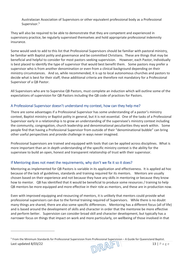Australasian Association of Supervisors or other equivalent professional body as a Professional Supervisor.<sup>[5](#page-12-2)</sup>

They will also be required to be able to demonstrate that they are competent and experienced in supervisory practice, be regularly supervised themselves and hold appropriate professional indemnity insurance.

Some would seek to add to this list that Professional Supervisors should be familiar with pastoral ministry, be familiar with Baptist polity and governance and be committed Christians. These are things that may be beneficial and helpful to consider for most pastors seeking supervision. However, each Pastor, individually is best placed to identify the type of supervisor that would best benefit them. Some pastors may prefer a supervisor who is from another denomination or even from a clinical background depending on their ministry circumstances. And so, while recommended, it is up to local autonomous churches and pastors to decide what is best for their staff, these additional criteria are therefore not mandatory for a Professional Supervisor of a QB Pastor.

All Supervisors who are to Supervise QB Pastors, must complete an induction which will outline some of the expectations of supervision for QB Pastors including the QB code of practices for Pastors.

#### <span id="page-12-0"></span>A Professional Supervisor doesn't understand my context, how can they help me?

There are some advantages if a Professional Supervisor has some understanding of a pastor's ministry context, Baptist ministry or Baptist polity in general, but it is not essential. One of the tasks of a Professional Supervisor early in a relationship is to grow an understanding of the supervisee's ministry context including the community, congregation, church leadership and denominational peculiarities they work within. Some people find that having a Professional Supervisor from outside of their "denominational bubble" can bring other useful perspectives and provide challenge in ways never imagined.

Professional Supervisors are trained and equipped with tools that can be applied across disciplines. What is more important than an in depth understanding of the specific ministry context is the ability for the supervisee to build an open, honest and transparent relationship of trust with their supervisor.

#### <span id="page-12-1"></span>If Mentoring does not meet the requirements, why don't we fix it so it does?

Mentoring as implemented for QB Pastors is variable in its application and effectiveness. It is applied ad hoc because of the lack of guidelines, standards and training required for its mentors. Mentors are usually chosen based on their experience and not because they have any skills in mentoring or because they know how to mentor. QB has identified that it would be beneficial to produce some resources / training to help QB mentors be more equipped and more effective in their role as mentors, and these are in production now.

Even with improved equipping and resourcing of mentors, it is unlikely that mentors could provide what professional supervisors can due to the formal training required of Supervisors. While there is no doubt many things are shared, there are also some specific differences. Mentoring has a different focus (all of life) and is based around the development of skills and character in order that the mentoree be more effective and perform better. Supervision can consider broad skill and character development, but typically has a narrower focus on things that impact on work and more particularly, on wellbeing of those involved in that

<span id="page-12-2"></span>Last updated 8/03/22 13 | P a g e <sup>5</sup> From the Minimum Standards for Professional Supervision from Professional Supervision – A Guide for Queensland Baptist.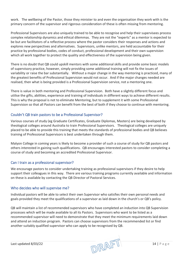work. The wellbeing of the Pastor, those they minister to and even the organisation they work with is the primary concern of the supervisor and rigorous consideration of these is often missing from mentoring.

Professional Supervisors are also uniquely trained to be able to recognise and help their supervisees process complex relationship dynamics and ethical dilemmas. They are not the "experts" as a mentor is expected to be but are facilitators of a reflective process where the pastor considers their responses and actions and explores new perspectives and alternatives. Supervisors, unlike mentors, are held accountable for their practice by professional bodies, codes of conduct, professional development and their own supervision which all work together to protect the quality and effectiveness of the supervision being given.

There is no doubt that QB could upskill mentors with some additional skills and provide some basic models of supervisory practice, however, simply providing some additional training will not fix the issues of variability or raise the bar substantially. Without a major change in the way mentoring is practiced, many of the greatest benefits of Professional Supervision would not occur. And if the major changes needed are realised, then what is being provided is a Professional Supervision service, not a mentoring one.

There is value in both mentoring and Professional Supervision. Both have a slightly different focus and utilise the gifts, abilities, experience and training of individuals in different ways to achieve different results. This is why the proposal is not to eliminate Mentoring, but to supplement it with some Professional Supervision so that all Pastors can benefit from the best of both if they choose to continue with mentoring.

#### <span id="page-13-0"></span>Couldn't QB train pastors to be a Professional Supervisor?

Various courses of study (eg Graduate Certificates, Graduate Diplomas, Masters) are being developed by theological colleges around Australia to train Professional Supervisors. Theological colleges are uniquely placed to be able to provide this training that meets the standards of professional bodies and QB believes training of Professional Supervisors is best undertaken through them.

Malyon College in coming years is likely to become a provider of such a course of study for QB pastors and others interested in gaining such qualifications. QB encourages interested pastors to consider completing a course of study and becoming an accredited Professional Supervisor.

#### <span id="page-13-1"></span>Can I train as a professional supervisor?

We encourage pastors to consider undertaking training as professional supervisors if they desire to help support their colleagues in this way. There are various training programs currently available and information on these is available by contacting the QB Director of Pastoral Services.

#### <span id="page-13-2"></span>Who decides who will supervise me?

Individual pastors will be able to select their own Supervisor who satisfies their own personal needs and goals provided they meet the qualifications of a supervisor as laid down in the church's or QB's policy.

QB will maintain a list of recommended supervisors who have completed an induction into QB Supervision processes which will be made available to all its Pastors. Supervisors who want to be listed as a recommended supervisor will need to demonstrate that they meet the minimum requirements laid down and attend an induction program. Pastors can choose supervisors from the recommended list or find another suitably qualified supervisor who can apply to be recognised by QB.

Last updated 8/03/22  $\sqrt{|\bigcap_{i} \bigcap_{i} \bigcap_{j} \bigcap_{j} \bigcap_{j} \bigcap_{j} \bigcap_{j} \bigcap_{j} \bigcap_{j} \bigcap_{j} \bigcap_{j} \bigcap_{j} \bigcap_{j} \bigcap_{j} \bigcap_{j} \bigcap_{j} \bigcap_{j} \bigcap_{j} \bigcap_{j} \bigcap_{j} \bigcap_{j} \bigcap_{j} \bigcap_{j} \bigcap_{j} \bigcap_{j} \bigcap_{j} \bigcap_{j} \bigcap_{j} \bigcap_{j} \bigcap_{j} \bigcap_{j} \bigcap_{j} \bigcap_{$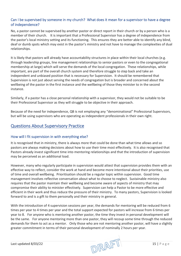#### <span id="page-14-0"></span>Can I be supervised by someone in my church? What does it mean for a supervisor to have a degree of independence?

No, a pastor cannot be supervised by another pastor or direct report in their church or by a person who is a member of their church. It is important that a Professional Supervisor has a degree of independence from the pastor's local ministry setting and its functioning. This ensures they are better able to identify any blind, deaf or dumb spots which may exist in the pastor's ministry and not have to manage the complexities of dual relationships.

It is likely that pastors will already have accountability structures in place within their local churches (e.g. through leadership groups, line management relationships to senior pastors or even to the congregational membership at large) which will serve the demands of the local congregation. These relationships, while important, are part of the overall church system and therefore struggle to step back and take an independent and unbiased position that is necessary for Supervision. It should be remembered that Supervision is not just about serving the needs of congregation but is broader and concerned about the wellbeing of the pastor in the first instance and the wellbeing of those they minister to in the second instance.

Similarly, if a pastor has a close personal relationship with a supervisor, they would not be suitable to be their Professional Supervisor as they will struggle to be objective in their approach.

Because of the need for independence, QB is not employing any "denominational" Professional Supervisors, but will be using supervisors who are operating as independent professionals in their own right.

## <span id="page-14-2"></span><span id="page-14-1"></span>Questions About Supervisory Practice

#### How will I fit supervision in with everything else?

It is recognised that in ministry, there is always more that could be done than what time allows and so pastors are always making decisions about how to use their time most effectively. It is also recognised that Pastors already invest significant time into mentoring relationships and that the introduction of supervision may be perceived as an additional load.

However, many who regularly participate in supervision would attest that supervision provides them with an effective way to reflect, consider the work at hand and become more intentional about their priorities, use of time and overall wellbeing. Prioritisation should be a regular topic within supervision. Good time management involves reflective conversation about what to choose to neglect. Sustainable ministry also requires that the pastor maintain their wellbeing and become aware of aspects of ministry that may compromise their ability to minister effectively. Supervision can help a Pastor to be more effective and efficient in their work and thus reduce the pressure of their ministry. To many pastors, Supervision is looked forward to and is a gift to them personally and their ministry in general.

With the introduction of 4 supervision sessions per year, the demands for mentoring will be reduced from 6 times per year to 4 times per year and the total support expected for pastors will increase from 6 times per year to 8. For anyone who is mentoring another pastor, the time they invest in personal development will be the same. For anyone mentoring more than one pastor, they will recoup some time through the reduced demands for them to act as a mentor. Only those who are not mentoring another pastor, will have a slightly greater commitment in terms of their personal development of nominally 2 hours per year.

Last updated 8/03/22 15 | Page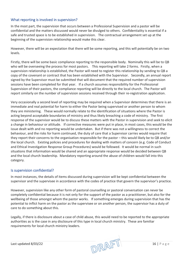#### <span id="page-15-0"></span>What reporting is involved in supervision?

In the most part, the supervision that occurs between a Professional Supervision and a pastor will be confidential and the matters discussed would never be divulged to others. Confidentiality is essential if a safe and trusted space is to be established in supervision. The contractual arrangement set up at the beginning of the supervision relationship would make this clear.

However, there will be an expectation that there will be some reporting, and this will potentially be on two levels.

Firstly, there will be some basic compliance reporting to the responsible body. Nominally this will be to QB who will be overseeing the process for most pastors. This reporting will take 2 forms. Firstly, when a supervision relationship is established, the Pastor will need to register this relationship by sending to QB a copy of the covenant or contract that has been established with the Supervisor. Secondly, an annual report signed by the Supervisor must be submitted that will document that the required number of supervision sessions have been completed for that year. If a church assumes responsibility for the Professional Supervision of their pastors, the compliance reporting will be directly to the local church. The Pastor will report similarly on the number of supervision sessions received through their re-registration application.

Very occasionally a second level of reporting may be required when a Supervisor determines that there is an immediate and real potential for harm to either the Pastor being supervised or another person to whom they are ministering. These would normally relate to the identification of situations where the Pastor is acting beyond acceptable boundaries of ministry and thus likely breaching a code of ministry. The first response of the supervisor would be to discuss these matters with the Pastor in supervision and seek to elicit a change in behaviour or attitude. If corrective measures were put in place, in most cases, this would be the issue dealt with and no reporting would be undertaken. But if there was not a willingness to correct the behaviour, and the risks for harm continued, the duty of care that a Supervisor carries would require that they report their concerns to the organisation responsible for the pastor – this would likely be to QB and/or the local church. Existing policies and procedures for dealing with matters of concern (e.g. Code of Conduct and Ethical Investigation Response Group Procedures) would be followed. It would be normal in such situations that information would be shared and an appropriate response would be decided between QB and the local church leadership. Mandatory reporting around the abuse of children would fall into this category.

#### <span id="page-15-1"></span>Is supervision confidential?

In most instances, the details of items discussed during supervision will be kept confidential between the supervisor and the supervisee in accordance with the codes of practice that govern the supervisor's practice.

However, supervision like any other form of pastoral counselling or pastoral conversation can never be completely confidential because it is not only for the support of the pastor as a practitioner, but also for the wellbeing of those amongst whom the pastor works. If something emerges during supervision that has the potential to inflict harm on the pastor as the supervisee or on another person, the supervisor has a duty of care to do something about this.

Legally, if there is disclosure about a case of child abuse, this would need to be reported to the appropriate authorities as is the case in any disclosure of this type in local church ministry. These are familiar requirements for local church ministry leaders.

Last updated 8/03/22 16 | Page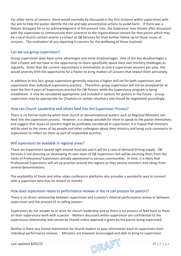For other items of concern, these would normally be discussed in the first instance within supervision with the aim to help the pastor identify the risk and take preventative actions to avoid harm. If there was a blatant disregard for or no acknowledgment of the present risks, the Supervisor may choose after discussion with the supervisee to communicate their concerns to the organisational contact for that pastor which may be a local church contact and/or a contact at QB Services for their further follow up on those issues of concern. The motivation of any reporting is concern for the wellbeing of those involved.

#### <span id="page-16-0"></span>Can we use group supervision?

Group supervision does have some advantages and some disadvantages. One of the key disadvantages is that a Pastor will not have to the opportunity to share specifically about their own ministry challenges as regularly. Given that the current requirement is minimalistic at only 4 supervision sessions per year, this would severely limit the opportunity for a Pastor to bring matters of concern that impact them personally.

In addition to this fact, group supervision generally requires a higher skill set for both supervisors and supervisees than individual supervisory practice. Therefore, group supervision will not be accepted for at least the first 4 years of Supervisory practice for QB Pastors while the Supervisory program is being established. It may be considered appropriate and included in options for pastors in the future. Group supervision may be appropriate for Chaplains in certain situations and should be negotiated accordingly.

#### <span id="page-16-1"></span>How can Church Leadership and others feed into the Supervision Process?

There is no formal route by which local church or denominational leaders such as Regional Ministers can feed into the supervision process. However, it is always possible for them to speak to the pastor themselves and suggest that issues of concern might be profitably considered in supervision. It is hoped that ministers will be alert to the views of lay people and other colleagues about their ministry and bring such comments to supervision to reflect on them as part of responsible practice.

#### <span id="page-16-2"></span>Will supervisors be available in regional areas?

There are Supervisors spread right around Australia and it will be a case of demand driving supply. QB Services is not planning on developing its own team of QB Supervisors but will be sourcing them from the ranks of Professional Supervisors already operational in various communities. In time, it is likely that Professional Supervisors will set up practice around the regions as they service ministers and clergy from several denominations.

The availability of Zoom and other video conference platforms also provides a wonderful way to connect with a supervisor who may be distant or remote.

#### <span id="page-16-3"></span>How does supervision relate to performance reviews or the re-call process for pastors?

There is no direct relationship between supervision and a pastor's internal performance review or between supervision and the process of re-calling pastors.

Supervisors do not answer to or work for church leadership and so there is no process of feed back to them on their supervisory work with a pastor. Matters discussed within supervision are confidential to the supervisory relationship and cannot be shared unless approval is given by the pastor being supervised.

Neither is there any formal mechanism for church leaders to pass information back to supervisors from individual performance reviews. Ministers are however encouraged and able to bring to supervision

Last updated 8/03/22  $\Box$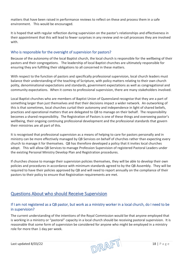matters that have been raised in performance reviews to reflect on these and process them in a safe environment. This would be encouraged.

It is hoped that with regular reflection during supervision on the pastor's relationships and effectiveness in their appointment that this will lead to fewer surprises in any review and re-call processes they are involved with.

#### <span id="page-17-0"></span>Who is responsible for the oversight of supervision for pastors?

Because of the autonomy of the local Baptist church, the local church is responsible for the wellbeing of their pastors and their congregations. The leadership of local Baptist churches are ultimately responsible for ensuring they are fulfilling their obligations to all concerned in these matters.

With respect to the function of pastors and specifically professional supervision, local church leaders must balance their understanding of the teaching of Scripture, with policy matters relating to their own church polity, denominational expectations and standards, government expectations as well as congregational and community expectations. When it comes to professional supervision, there are many stakeholders involved.

Local Baptist churches who are members of Baptist Union of Queensland recognise that they are a part of something larger than just themselves and that their decisions impact a wider network. An outworking of this is that sometimes, local churches curtail their autonomy and independence in light of shared beliefs, practices and operational matters that are delegated to QB to manage on their behalf. The responsibility becomes a shared responsibility. The Registration of Pastors is one of these things and overseeing pastor's wellbeing, their ongoing continuing professional development and the professional standards that govern their ministries are all part of this.

It is recognised that professional supervision as a means of helping to care for pastors personally and in ministry can be more effectively managed by QB Services on behalf of churches rather than expecting every church to manage it for themselves. QB has therefore developed a policy that it invites local churches adopt. This will allow QB Services to manage Profession Supervision of registered Pastoral Leaders under the existing Personal Ministry Develop Plan and Registration procedures.

If churches choose to manage their supervision policies themselves, they will be able to develop their own policies and procedures in accordance with minimum standards agreed to by the QB Assembly. They will be required to have their policies approved by QB and will need to report annually on the compliance of their pastors to their policy to ensure that Registration requirements are met.

## <span id="page-17-2"></span><span id="page-17-1"></span>Questions About who should Receive Supervision

#### If I am not registered as a QB pastor, but work as a ministry worker in a local church, do I need to be in supervision?

The current understanding of the intentions of the Royal Commission would be that anyone employed that is working in a ministry or "pastoral" capacity in a local church should be receiving pastoral supervision. It is reasonable that some form of supervision be considered for anyone who might be employed in a ministry role for more than 1 day per week.

Last updated 8/03/22  $\sqrt{OPT}$  18 | Page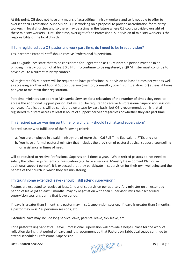At this point, QB does not have any means of accrediting ministry workers and so is not able to offer to oversee their Professional Supervision. QB is working on a proposal to provide accreditation for ministry workers in local churches and so there may be a time in the future where QB could provide oversight of these ministry workers. Until this time, oversight of the Professional Supervision of ministry workers is the responsibility of the local church.

#### <span id="page-18-0"></span>If I am registered as a QB pastor and work part-time, do I need to be in supervision?

Yes, part time Pastoral staff should receive Professional Supervision.

Our QB guidelines state that to be considered for Registration as QB Minister, a person must be in an ongoing ministry position of at least 0.6 FTE. To continue to be registered, a QB Minister must continue to have a call to a current Ministry context.

All registered QB Ministers will be required to have professional supervision at least 4 times per year as well as accessing another additional Support person (mentor, counsellor, coach, spiritual director) at least 4 times per year to maintain their registration.

Part time ministers can apply to Ministerial Services for a relaxation of the number of times they need to access the additional Support person, but will still be required to receive 4 Professional Supervision sessions per year. Applications will be considered on a case-by-case basis, but QB's recommendation is that all registered ministers access at least 8 hours of support per year regardless of whether they are part time.

#### <span id="page-18-1"></span>I'm a retired pastor working part time for a church - should I still attend supervision?

Retired pastor who fulfill one of the following criteria

- a. You are employed in a paid ministry role of more than 0.6 Full Time Equivalent (FTE), and / or
- b. You have a formal pastoral ministry that includes the provision of pastoral advice, support, counselling or assistance in times of need.

will be required to receive Professional Supervision 4 times a year. While retired pastors do not need to satisfy the other requirements of registration (e.g. have a Personal Ministry Development Plan or an additional support person), it is expected that they participate in supervision for their own wellbeing and the benefit of the church in which they are ministering.

#### <span id="page-18-2"></span>I'm taking some extended leave - should I still attend supervision?

Pastors are expected to receive at least 1 hour of supervision per quarter. Any minister on an extended period of leave (of at least 3 months) may by negotiation with their supervisor, miss their scheduled supervision sessions during that leave period.

If leave is greater than 3 months, a pastor may miss 1 supervision session. If leave is greater than 6 months, a pastor may miss 2 supervision sessions, etc.

Extended leave may include long service leave, parental leave, sick leave, etc.

For a pastor taking Sabbatical Leave, Professional Supervision will provide a helpful place for the work of reflection during that period of leave and it is recommended that Pastors on Sabbatical Leave continue to attend scheduled Professional Supervision.

Last updated 8/03/22 19 | Page